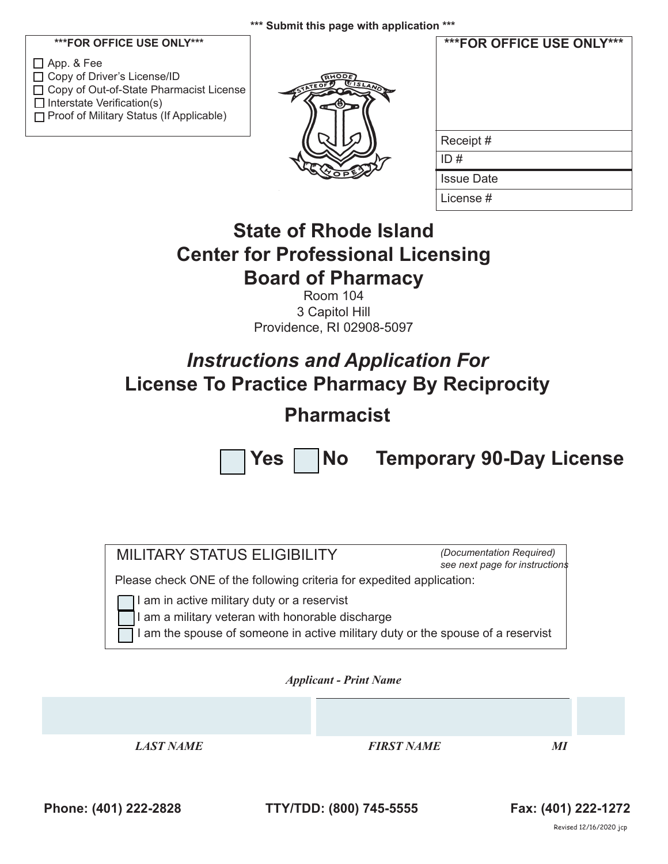# **\*\*\*FOR OFFICE USE ONLY\*\*\***

App. & Fee □ Copy of Driver's License/ID □ Copy of Out-of-State Pharmacist License  $\Box$  Interstate Verification(s) □ Proof of Military Status (If Applicable)



| ***FOR OFFICE USE ONLY*** |
|---------------------------|
| Receipt#                  |
| ID#                       |
| <b>Issue Date</b>         |
| License #                 |

# **State of Rhode Island Center for Professional Licensing Board of Pharmacy**

Room 104 3 Capitol Hill Providence, RI 02908-5097

# *Instructions and Application For* **License To Practice Pharmacy By Reciprocity**

# **Pharmacist**



Yes | No Temporary 90-Day License

| <b>MILITARY STATUS ELIGIBILITY</b>                                                                                                                                             |                               | (Documentation Required)<br>see next page for instructions |  |
|--------------------------------------------------------------------------------------------------------------------------------------------------------------------------------|-------------------------------|------------------------------------------------------------|--|
| Please check ONE of the following criteria for expedited application:                                                                                                          |                               |                                                            |  |
| I am in active military duty or a reservist<br>am a military veteran with honorable discharge<br>am the spouse of someone in active military duty or the spouse of a reservist | <b>Applicant - Print Name</b> |                                                            |  |
|                                                                                                                                                                                |                               |                                                            |  |
|                                                                                                                                                                                |                               |                                                            |  |
|                                                                                                                                                                                |                               |                                                            |  |

**Phone: (401) 222-2828 TTY/TDD: (800) 745-5555 Fax: (401) 222-1272**

Revised 12/16/2020 jcp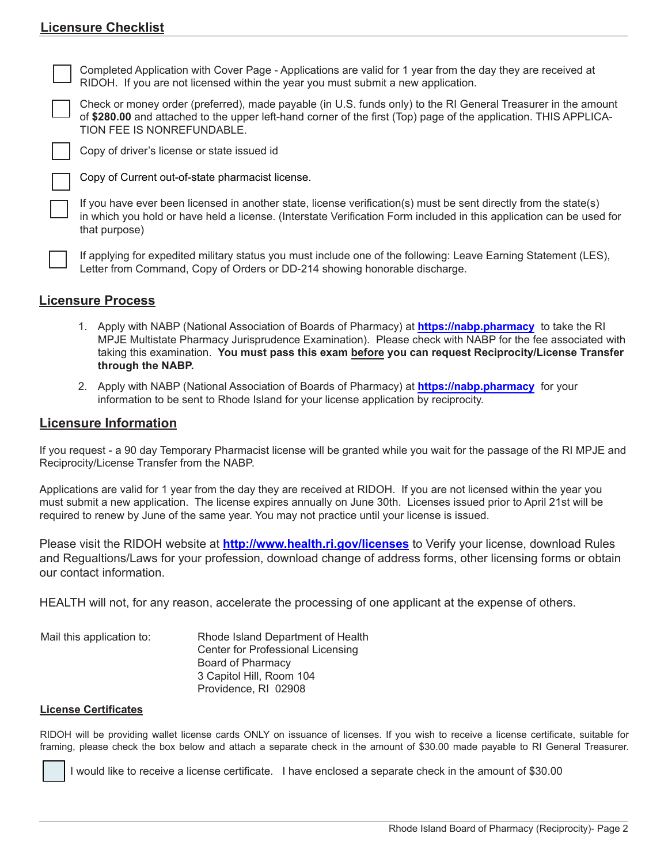# **Licensure Checklist**

Completed Application with Cover Page - Applications are valid for 1 year from the day they are received at RIDOH. If you are not licensed within the year you must submit a new application.

Check or money order (preferred), made payable (in U.S. funds only) to the RI General Treasurer in the amount of **\$280.00** and attached to the upper left-hand corner of the first (Top) page of the application. THIS APPLICA-TION FEE IS NONREFUNDABLE.

Copy of driver's license or state issued id

Copy of Current out-of-state pharmacist license.

If you have ever been licensed in another state, license verification(s) must be sent directly from the state(s) in which you hold or have held a license. (Interstate Verification Form included in this application can be used for that purpose)

If applying for expedited military status you must include one of the following: Leave Earning Statement (LES), Letter from Command, Copy of Orders or DD-214 showing honorable discharge.

### **Licensure Process**

- 1. Apply with NABP (National Association of Boards of Pharmacy) at **https://nabp.pharmacy** to take the RI MPJE Multistate Pharmacy Jurisprudence Examination). Please check with NABP for the fee associated with taking this examination. **You must pass this exam before you can request Reciprocity/License Transfer through the NABP.**
- 2. Apply with NABP (National Association of Boards of Pharmacy) at **https://nabp.pharmacy** for your information to be sent to Rhode Island for your license application by reciprocity.

### **Licensure Information**

If you request - a 90 day Temporary Pharmacist license will be granted while you wait for the passage of the RI MPJE and Reciprocity/License Transfer from the NABP.

Applications are valid for 1 year from the day they are received at RIDOH. If you are not licensed within the year you must submit a new application. The license expires annually on June 30th. Licenses issued prior to April 21st will be required to renew by June of the same year. You may not practice until your license is issued.

Please visit the RIDOH website at **http://www.health.ri.gov/licenses** to Verify your license, download Rules and Regualtions/Laws for your profession, download change of address forms, other licensing forms or obtain our contact information.

HEALTH will not, for any reason, accelerate the processing of one applicant at the expense of others.

| Mail this application to: | Rhode Island Department of Health |
|---------------------------|-----------------------------------|
|                           | Center for Professional Licensing |
|                           | Board of Pharmacy                 |
|                           | 3 Capitol Hill, Room 104          |
|                           | Providence, RI 02908              |

### **License Certificates**

RIDOH will be providing wallet license cards ONLY on issuance of licenses. If you wish to receive a license certificate, suitable for framing, please check the box below and attach a separate check in the amount of \$30.00 made payable to RI General Treasurer.

I would like to receive a license certificate. I have enclosed a separate check in the amount of \$30.00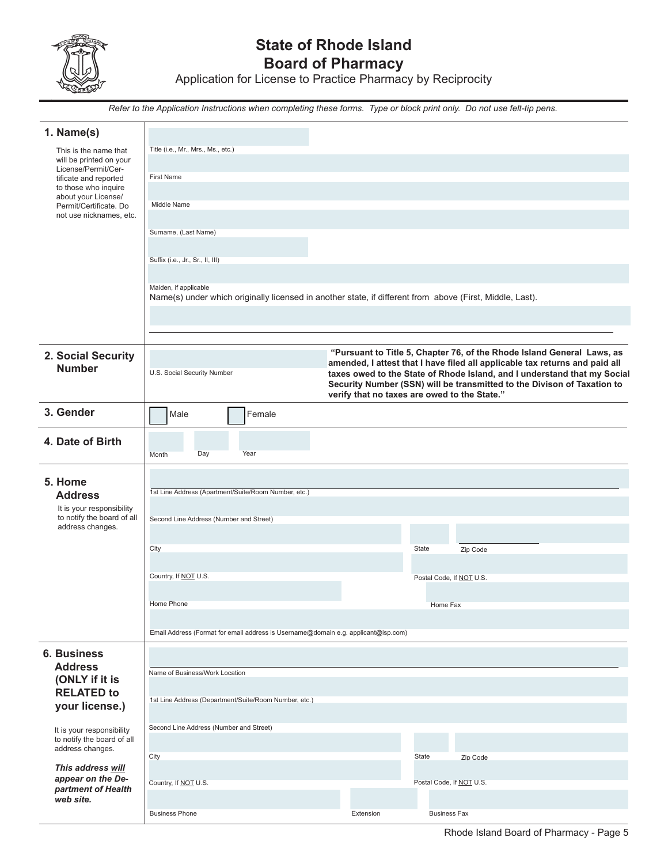

# **State of Rhode Island Board of Pharmacy**

Application for License to Practice Pharmacy by Reciprocity

*Refer to the Application Instructions when completing these forms. Type or block print only. Do not use felt-tip pens.*

| 1. Name(s)                                              |                                                                                                                                   |           |                                                                                                                                                         |
|---------------------------------------------------------|-----------------------------------------------------------------------------------------------------------------------------------|-----------|---------------------------------------------------------------------------------------------------------------------------------------------------------|
| This is the name that<br>will be printed on your        | Title (i.e., Mr., Mrs., Ms., etc.)                                                                                                |           |                                                                                                                                                         |
| License/Permit/Cer-                                     | <b>First Name</b>                                                                                                                 |           |                                                                                                                                                         |
| tificate and reported<br>to those who inquire           |                                                                                                                                   |           |                                                                                                                                                         |
| about your License/<br>Permit/Certificate. Do           | Middle Name                                                                                                                       |           |                                                                                                                                                         |
| not use nicknames, etc.                                 |                                                                                                                                   |           |                                                                                                                                                         |
|                                                         | Surname, (Last Name)                                                                                                              |           |                                                                                                                                                         |
|                                                         | Suffix (i.e., Jr., Sr., II, III)                                                                                                  |           |                                                                                                                                                         |
|                                                         |                                                                                                                                   |           |                                                                                                                                                         |
|                                                         | Maiden, if applicable<br>Name(s) under which originally licensed in another state, if different from above (First, Middle, Last). |           |                                                                                                                                                         |
|                                                         |                                                                                                                                   |           |                                                                                                                                                         |
|                                                         |                                                                                                                                   |           |                                                                                                                                                         |
| 2. Social Security                                      |                                                                                                                                   |           | "Pursuant to Title 5, Chapter 76, of the Rhode Island General Laws, as                                                                                  |
| <b>Number</b>                                           | U.S. Social Security Number                                                                                                       |           | amended, I attest that I have filed all applicable tax returns and paid all<br>taxes owed to the State of Rhode Island, and I understand that my Social |
|                                                         |                                                                                                                                   |           | Security Number (SSN) will be transmitted to the Divison of Taxation to<br>verify that no taxes are owed to the State."                                 |
| 3. Gender                                               |                                                                                                                                   |           |                                                                                                                                                         |
|                                                         | Male<br>Female                                                                                                                    |           |                                                                                                                                                         |
| 4. Date of Birth                                        |                                                                                                                                   |           |                                                                                                                                                         |
|                                                         | Day<br>Year<br>Month                                                                                                              |           |                                                                                                                                                         |
| 5. Home                                                 |                                                                                                                                   |           |                                                                                                                                                         |
| <b>Address</b>                                          | 1st Line Address (Apartment/Suite/Room Number, etc.)                                                                              |           |                                                                                                                                                         |
| It is your responsibility<br>to notify the board of all | Second Line Address (Number and Street)                                                                                           |           |                                                                                                                                                         |
| address changes.                                        |                                                                                                                                   |           |                                                                                                                                                         |
|                                                         | City                                                                                                                              |           | State<br>Zip Code                                                                                                                                       |
|                                                         | Country, If NOT U.S.                                                                                                              |           |                                                                                                                                                         |
|                                                         |                                                                                                                                   |           | Postal Code, If NOT U.S.                                                                                                                                |
|                                                         | Home Phone                                                                                                                        |           | Home Fax                                                                                                                                                |
|                                                         |                                                                                                                                   |           |                                                                                                                                                         |
|                                                         | Email Address (Format for email address is Username@domain e.g. applicant@isp.com)                                                |           |                                                                                                                                                         |
| <b>6. Business</b><br><b>Address</b>                    |                                                                                                                                   |           |                                                                                                                                                         |
| (ONLY if it is                                          | Name of Business/Work Location                                                                                                    |           |                                                                                                                                                         |
| <b>RELATED to</b>                                       | 1st Line Address (Department/Suite/Room Number, etc.)                                                                             |           |                                                                                                                                                         |
| your license.)                                          |                                                                                                                                   |           |                                                                                                                                                         |
| It is your responsibility<br>to notify the board of all | Second Line Address (Number and Street)                                                                                           |           |                                                                                                                                                         |
| address changes.                                        | City                                                                                                                              |           | State<br>Zip Code                                                                                                                                       |
| This address will                                       |                                                                                                                                   |           |                                                                                                                                                         |
| appear on the De-<br>partment of Health                 | Country, If NOT U.S.                                                                                                              |           | Postal Code, If NOT U.S.                                                                                                                                |
| web site.                                               |                                                                                                                                   | Extension | <b>Business Fax</b>                                                                                                                                     |
|                                                         | <b>Business Phone</b>                                                                                                             |           |                                                                                                                                                         |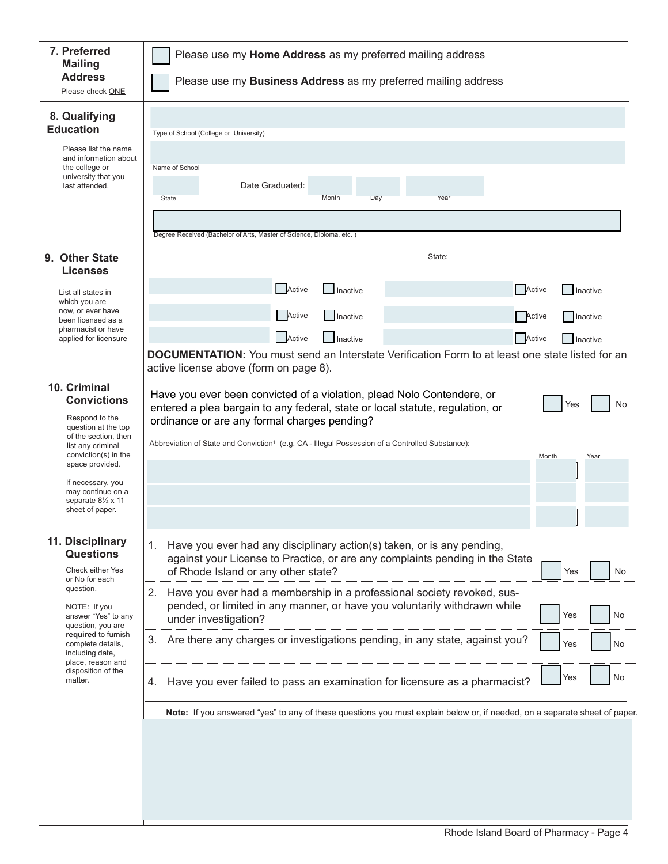| 7. Preferred<br><b>Mailing</b><br><b>Address</b>                                                                                                 | Please use my Home Address as my preferred mailing address<br>Please use my <b>Business Address</b> as my preferred mailing address                                                                                                                                                                                                                  |
|--------------------------------------------------------------------------------------------------------------------------------------------------|------------------------------------------------------------------------------------------------------------------------------------------------------------------------------------------------------------------------------------------------------------------------------------------------------------------------------------------------------|
| Please check ONE                                                                                                                                 |                                                                                                                                                                                                                                                                                                                                                      |
| 8. Qualifying<br><b>Education</b>                                                                                                                | Type of School (College or University)                                                                                                                                                                                                                                                                                                               |
| Please list the name<br>and information about<br>the college or<br>university that you<br>last attended.                                         | Name of School<br>Date Graduated:<br>Month<br>Year<br>Day<br>State                                                                                                                                                                                                                                                                                   |
|                                                                                                                                                  | Degree Received (Bachelor of Arts, Master of Science, Diploma, etc.)                                                                                                                                                                                                                                                                                 |
| 9. Other State<br>Licenses                                                                                                                       | State:                                                                                                                                                                                                                                                                                                                                               |
| List all states in<br>which you are                                                                                                              | Active<br>Active<br>Inactive<br>Inactive                                                                                                                                                                                                                                                                                                             |
| now, or ever have<br>been licensed as a<br>pharmacist or have<br>applied for licensure                                                           | Active<br>Inactive<br>Active<br>Inactive<br>Active<br>Active<br><b>Inactive</b><br>Inactive                                                                                                                                                                                                                                                          |
|                                                                                                                                                  | <b>DOCUMENTATION:</b> You must send an Interstate Verification Form to at least one state listed for an<br>active license above (form on page 8).                                                                                                                                                                                                    |
| 10. Criminal<br><b>Convictions</b><br>Respond to the<br>question at the top<br>of the section, then<br>list any criminal<br>conviction(s) in the | Have you ever been convicted of a violation, plead Nolo Contendere, or<br>Yes<br>No<br>entered a plea bargain to any federal, state or local statute, regulation, or<br>ordinance or are any formal charges pending?<br>Abbreviation of State and Conviction <sup>1</sup> (e.g. CA - Illegal Possession of a Controlled Substance):<br>Month<br>Year |
| space provided.<br>If necessary, you<br>may continue on a                                                                                        |                                                                                                                                                                                                                                                                                                                                                      |
| separate 81/2 x 11<br>sheet of paper.                                                                                                            |                                                                                                                                                                                                                                                                                                                                                      |
| 11. Disciplinary<br><b>Questions</b><br>Check either Yes<br>or No for each                                                                       | Have you ever had any disciplinary action(s) taken, or is any pending,<br>1.<br>against your License to Practice, or are any complaints pending in the State<br>of Rhode Island or any other state?<br>No<br>Yes                                                                                                                                     |
| question.<br>NOTE: If you<br>answer "Yes" to any<br>question, you are                                                                            | 2.<br>Have you ever had a membership in a professional society revoked, sus-<br>pended, or limited in any manner, or have you voluntarily withdrawn while<br>No<br>Yes<br>under investigation?                                                                                                                                                       |
| required to furnish<br>complete details,<br>including date,<br>place, reason and                                                                 | Are there any charges or investigations pending, in any state, against you?<br>3.<br>No<br>Yes                                                                                                                                                                                                                                                       |
| disposition of the<br>matter.                                                                                                                    | No<br>Yes<br>Have you ever failed to pass an examination for licensure as a pharmacist?<br>4.                                                                                                                                                                                                                                                        |
|                                                                                                                                                  | Note: If you answered "yes" to any of these questions you must explain below or, if needed, on a separate sheet of paper.                                                                                                                                                                                                                            |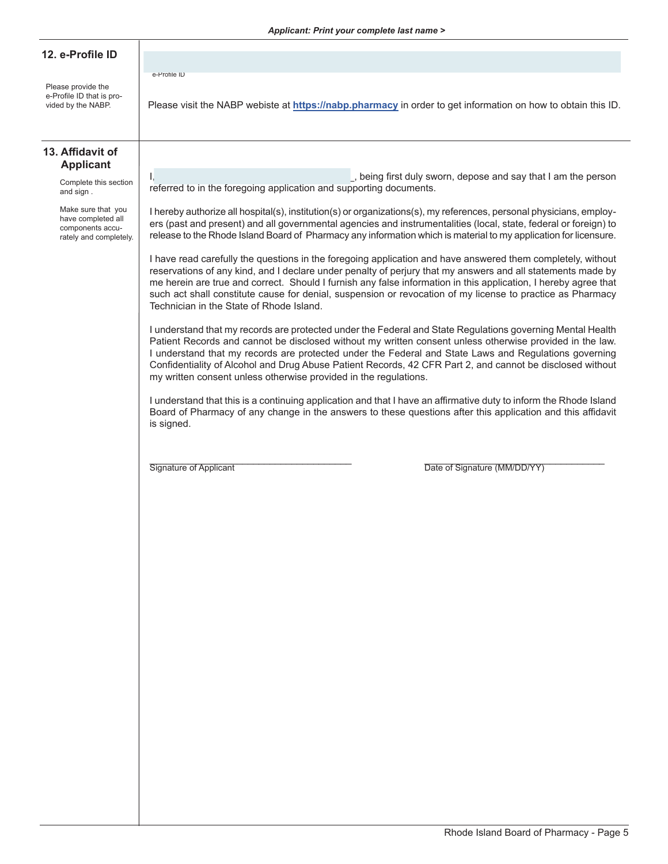#### **12. e-Profile ID**

Please provide the e-Profile ID that is proe-Profile ID

#### **13. Affidavit of Applicant**

Complete this section and sign .

Make sure that you have completed all components accurately and completely.

I, etc. The interval of the state of the state of the state of the state of the person of the person in the person referred to in the foregoing application and supporting documents.

Please visit the NABP webiste at https://nabp.pharmacy in order to get information on how to obtain this ID.

I hereby authorize all hospital(s), institution(s) or organizations(s), my references, personal physicians, employers (past and present) and all governmental agencies and instrumentalities (local, state, federal or foreign) to release to the Rhode Island Board of Pharmacy any information which is material to my application for licensure.

I have read carefully the questions in the foregoing application and have answered them completely, without reservations of any kind, and I declare under penalty of perjury that my answers and all statements made by me herein are true and correct. Should I furnish any false information in this application, I hereby agree that such act shall constitute cause for denial, suspension or revocation of my license to practice as Pharmacy Technician in the State of Rhode Island.

I understand that my records are protected under the Federal and State Regulations governing Mental Health Patient Records and cannot be disclosed without my written consent unless otherwise provided in the law. I understand that my records are protected under the Federal and State Laws and Regulations governing Confidentiality of Alcohol and Drug Abuse Patient Records, 42 CFR Part 2, and cannot be disclosed without my written consent unless otherwise provided in the regulations.

I understand that this is a continuing application and that I have an affirmative duty to inform the Rhode Island Board of Pharmacy of any change in the answers to these questions after this application and this affidavit is signed.

\_\_\_\_\_\_\_\_\_\_\_\_\_\_\_\_\_\_\_\_\_\_\_\_\_\_\_\_\_\_\_\_\_\_\_\_\_ \_\_\_\_\_\_\_\_\_\_\_\_\_\_\_\_\_\_\_\_\_\_\_\_\_\_\_\_\_\_\_\_\_ Signature of Applicant Date of Signature (MM/DD/YY)